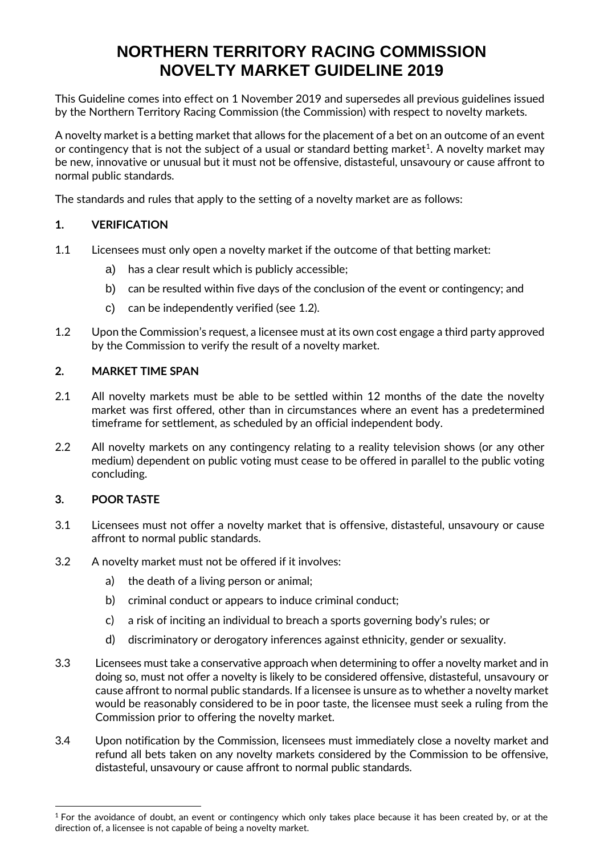# **NORTHERN TERRITORY RACING COMMISSION NOVELTY MARKET GUIDELINE 2019**

This Guideline comes into effect on 1 November 2019 and supersedes all previous guidelines issued by the Northern Territory Racing Commission (the Commission) with respect to novelty markets.

A novelty market is a betting market that allows for the placement of a bet on an outcome of an event or contingency that is not the subject of a usual or standard betting market $^1$ . A novelty market may be new, innovative or unusual but it must not be offensive, distasteful, unsavoury or cause affront to normal public standards.

The standards and rules that apply to the setting of a novelty market are as follows:

# **1. VERIFICATION**

- 1.1 Licensees must only open a novelty market if the outcome of that betting market:
	- a) has a clear result which is publicly accessible;
	- b) can be resulted within five days of the conclusion of the event or contingency; and
	- c) can be independently verified (see 1.2).
- 1.2 Upon the Commission's request, a licensee must at its own cost engage a third party approved by the Commission to verify the result of a novelty market.

## **2. MARKET TIME SPAN**

- 2.1 All novelty markets must be able to be settled within 12 months of the date the novelty market was first offered, other than in circumstances where an event has a predetermined timeframe for settlement, as scheduled by an official independent body.
- 2.2 All novelty markets on any contingency relating to a reality television shows (or any other medium) dependent on public voting must cease to be offered in parallel to the public voting concluding.

# **3. POOR TASTE**

- 3.1 Licensees must not offer a novelty market that is offensive, distasteful, unsavoury or cause affront to normal public standards.
- 3.2 A novelty market must not be offered if it involves:
	- a) the death of a living person or animal;
	- b) criminal conduct or appears to induce criminal conduct;
	- c) a risk of inciting an individual to breach a sports governing body's rules; or
	- d) discriminatory or derogatory inferences against ethnicity, gender or sexuality.
- 3.3 Licensees must take a conservative approach when determining to offer a novelty market and in doing so, must not offer a novelty is likely to be considered offensive, distasteful, unsavoury or cause affront to normal public standards. If a licensee is unsure as to whether a novelty market would be reasonably considered to be in poor taste, the licensee must seek a ruling from the Commission prior to offering the novelty market.
- 3.4 Upon notification by the Commission, licensees must immediately close a novelty market and refund all bets taken on any novelty markets considered by the Commission to be offensive, distasteful, unsavoury or cause affront to normal public standards.

 $1$  For the avoidance of doubt, an event or contingency which only takes place because it has been created by, or at the direction of, a licensee is not capable of being a novelty market.